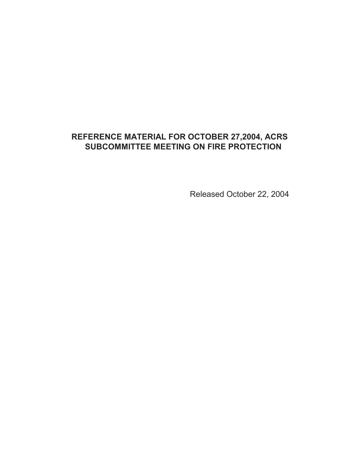## **REFERENCE MATERIAL FOR OCTOBER 27,2004, ACRS SUBCOMMITTEE MEETING ON FIRE PROTECTION**

Released October 22, 2004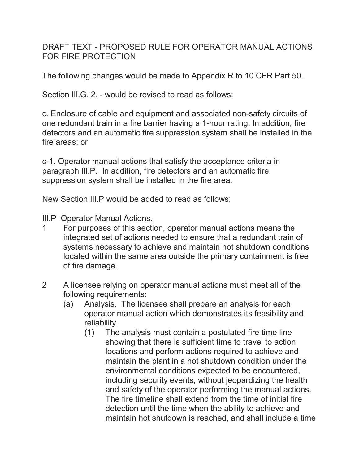DRAFT TEXT - PROPOSED RULE FOR OPERATOR MANUAL ACTIONS FOR FIRE PROTECTION

The following changes would be made to Appendix R to 10 CFR Part 50.

Section III.G. 2. - would be revised to read as follows:

c. Enclosure of cable and equipment and associated non-safety circuits of one redundant train in a fire barrier having a 1-hour rating. In addition, fire detectors and an automatic fire suppression system shall be installed in the fire areas; or

c-1. Operator manual actions that satisfy the acceptance criteria in paragraph III.P. In addition, fire detectors and an automatic fire suppression system shall be installed in the fire area.

New Section III.P would be added to read as follows:

III.P Operator Manual Actions.

- 1 For purposes of this section, operator manual actions means the integrated set of actions needed to ensure that a redundant train of systems necessary to achieve and maintain hot shutdown conditions located within the same area outside the primary containment is free of fire damage.
- 2 A licensee relying on operator manual actions must meet all of the following requirements:
	- (a) Analysis. The licensee shall prepare an analysis for each operator manual action which demonstrates its feasibility and reliability.
		- (1) The analysis must contain a postulated fire time line showing that there is sufficient time to travel to action locations and perform actions required to achieve and maintain the plant in a hot shutdown condition under the environmental conditions expected to be encountered, including security events, without jeopardizing the health and safety of the operator performing the manual actions. The fire timeline shall extend from the time of initial fire detection until the time when the ability to achieve and maintain hot shutdown is reached, and shall include a time